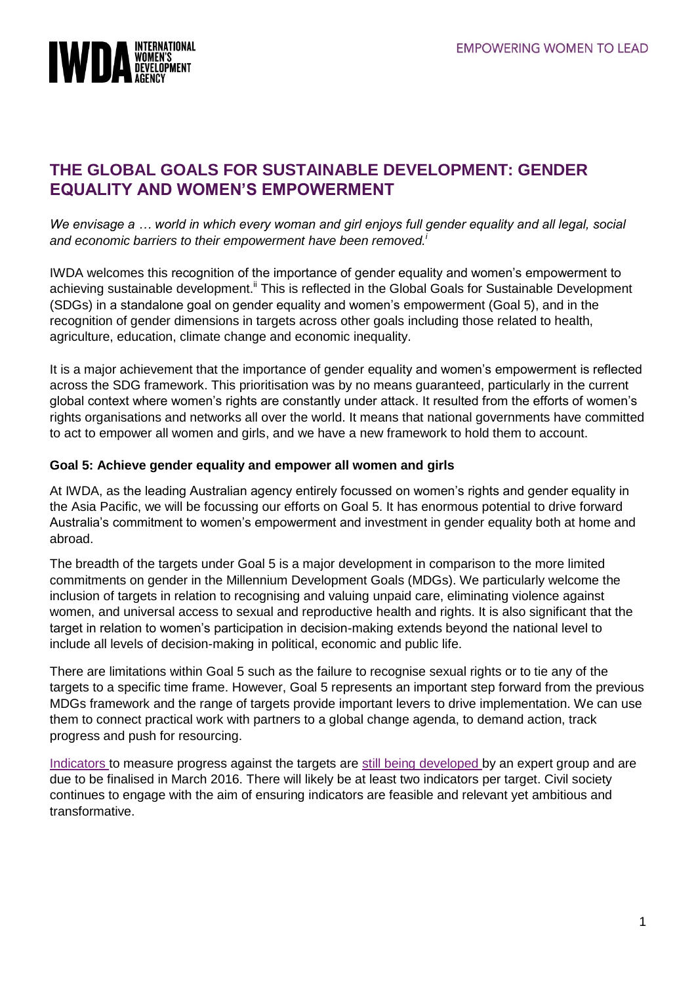

# **THE GLOBAL GOALS FOR SUSTAINABLE DEVELOPMENT: GENDER EQUALITY AND WOMEN'S EMPOWERMENT**

*We envisage a … world in which every woman and girl enjoys full gender equality and all legal, social and economic barriers to their empowerment have been removed.<sup>i</sup>*

IWDA welcomes this recognition of the importance of gender equality and women's empowerment to achieving sustainable development.<sup>ii</sup> This is reflected in the Global Goals for Sustainable Development (SDGs) in a standalone goal on gender equality and women's empowerment (Goal 5), and in the recognition of gender dimensions in targets across other goals including those related to health, agriculture, education, climate change and economic inequality.

It is a major achievement that the importance of gender equality and women's empowerment is reflected across the SDG framework. This prioritisation was by no means guaranteed, particularly in the current global context where women's rights are constantly under attack. It resulted from the efforts of women's rights organisations and networks all over the world. It means that national governments have committed to act to empower all women and girls, and we have a new framework to hold them to account.

#### **Goal 5: Achieve gender equality and empower all women and girls**

At IWDA, as the leading Australian agency entirely focussed on women's rights and gender equality in the Asia Pacific, we will be focussing our efforts on Goal 5. It has enormous potential to drive forward Australia's commitment to women's empowerment and investment in gender equality both at home and abroad.

The breadth of the targets under Goal 5 is a major development in comparison to the more limited commitments on gender in the Millennium Development Goals (MDGs). We particularly welcome the inclusion of targets in relation to recognising and valuing unpaid care, eliminating violence against women, and universal access to sexual and reproductive health and rights. It is also significant that the target in relation to women's participation in decision-making extends beyond the national level to include all levels of decision-making in political, economic and public life.

There are limitations within Goal 5 such as the failure to recognise sexual rights or to tie any of the targets to a specific time frame. However, Goal 5 represents an important step forward from the previous MDGs framework and the range of targets provide important levers to drive implementation. We can use them to connect practical work with partners to a global change agenda, to demand action, track progress and push for resourcing.

[Indicators](https://sustainabledevelopment.un.org/topics/indicators) to measure progress against the targets are [still being developed](http://unstats.un.org/sdgs/meetings/iaeg-sdgs-meeting-02) by an expert group and are due to be finalised in March 2016. There will likely be at least two indicators per target. Civil society continues to engage with the aim of ensuring indicators are feasible and relevant yet ambitious and transformative.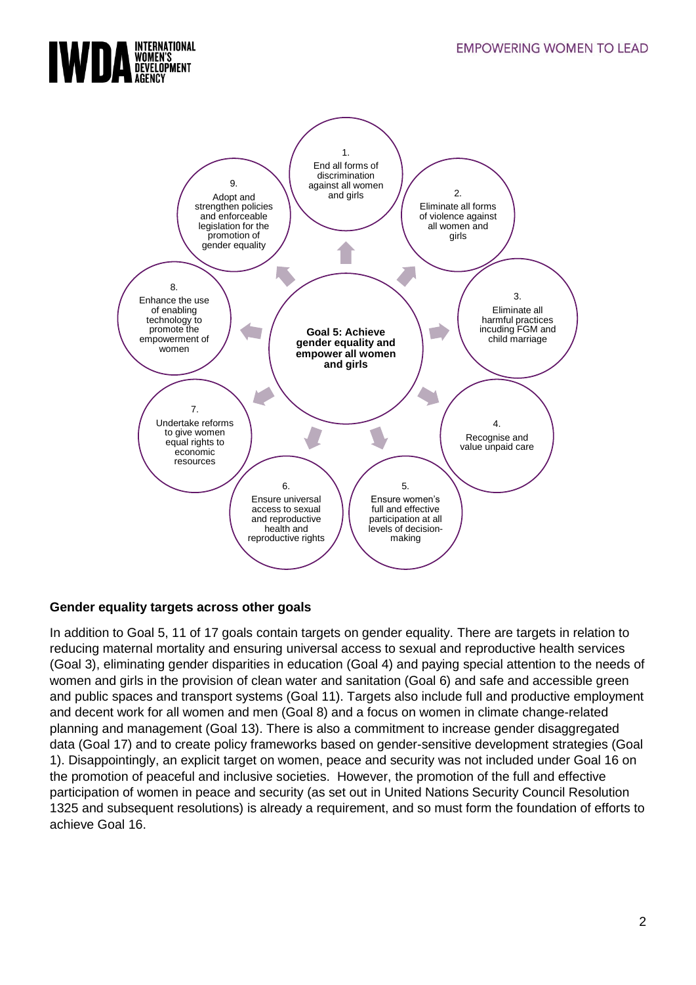



### **Gender equality targets across other goals**

In addition to Goal 5, 11 of 17 goals contain targets on gender equality. There are targets in relation to reducing maternal mortality and ensuring universal access to sexual and reproductive health services (Goal 3), eliminating gender disparities in education (Goal 4) and paying special attention to the needs of women and girls in the provision of clean water and sanitation (Goal 6) and safe and accessible green and public spaces and transport systems (Goal 11). Targets also include full and productive employment and decent work for all women and men (Goal 8) and a focus on women in climate change-related planning and management (Goal 13). There is also a commitment to increase gender disaggregated data (Goal 17) and to create policy frameworks based on gender-sensitive development strategies (Goal 1). Disappointingly, an explicit target on women, peace and security was not included under Goal 16 on the promotion of peaceful and inclusive societies. However, the promotion of the full and effective participation of women in peace and security (as set out in United Nations Security Council Resolution 1325 and subsequent resolutions) is already a requirement, and so must form the foundation of efforts to achieve Goal 16.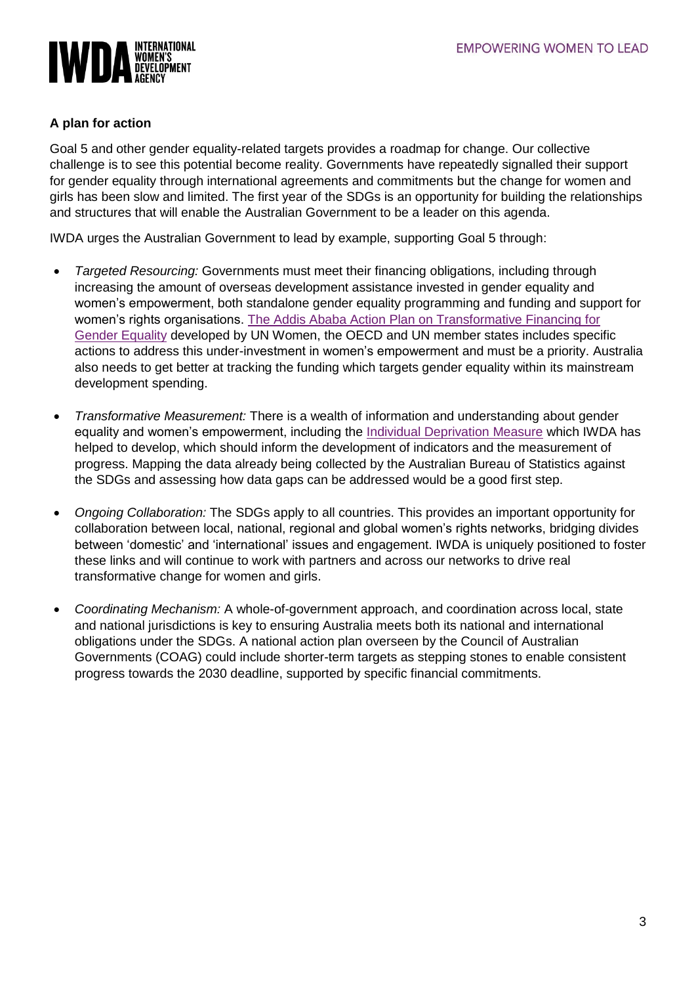

#### **A plan for action**

Goal 5 and other gender equality-related targets provides a roadmap for change. Our collective challenge is to see this potential become reality. Governments have repeatedly signalled their support for gender equality through international agreements and commitments but the change for women and girls has been slow and limited. The first year of the SDGs is an opportunity for building the relationships and structures that will enable the Australian Government to be a leader on this agenda.

IWDA urges the Australian Government to lead by example, supporting Goal 5 through:

- *Targeted Resourcing:* Governments must meet their financing obligations, including through increasing the amount of overseas development assistance invested in gender equality and women's empowerment, both standalone gender equality programming and funding and support for women's rights organisations. [The Addis Ababa Action Plan on Transformative Financing for](http://www.oecd.org/dac/gender-development/Action%20Plan%20on%20Financing%20Gender%20Equality.pdf)  [Gender Equality](http://www.oecd.org/dac/gender-development/Action%20Plan%20on%20Financing%20Gender%20Equality.pdf) developed by UN Women, the OECD and UN member states includes specific actions to address this under-investment in women's empowerment and must be a priority. Australia also needs to get better at tracking the funding which targets gender equality within its mainstream development spending.
- *Transformative Measurement:* There is a wealth of information and understanding about gender equality and women's empowerment, including the [Individual Deprivation Measure](https://www.iwda.org.au/introducing-the-individual-deprivation-measure/) which IWDA has helped to develop, which should inform the development of indicators and the measurement of progress. Mapping the data already being collected by the Australian Bureau of Statistics against the SDGs and assessing how data gaps can be addressed would be a good first step.
- *Ongoing Collaboration:* The SDGs apply to all countries. This provides an important opportunity for collaboration between local, national, regional and global women's rights networks, bridging divides between 'domestic' and 'international' issues and engagement. IWDA is uniquely positioned to foster these links and will continue to work with partners and across our networks to drive real transformative change for women and girls.
- *Coordinating Mechanism:* A whole-of-government approach, and coordination across local, state and national jurisdictions is key to ensuring Australia meets both its national and international obligations under the SDGs. A national action plan overseen by the Council of Australian Governments (COAG) could include shorter-term targets as stepping stones to enable consistent progress towards the 2030 deadline, supported by specific financial commitments.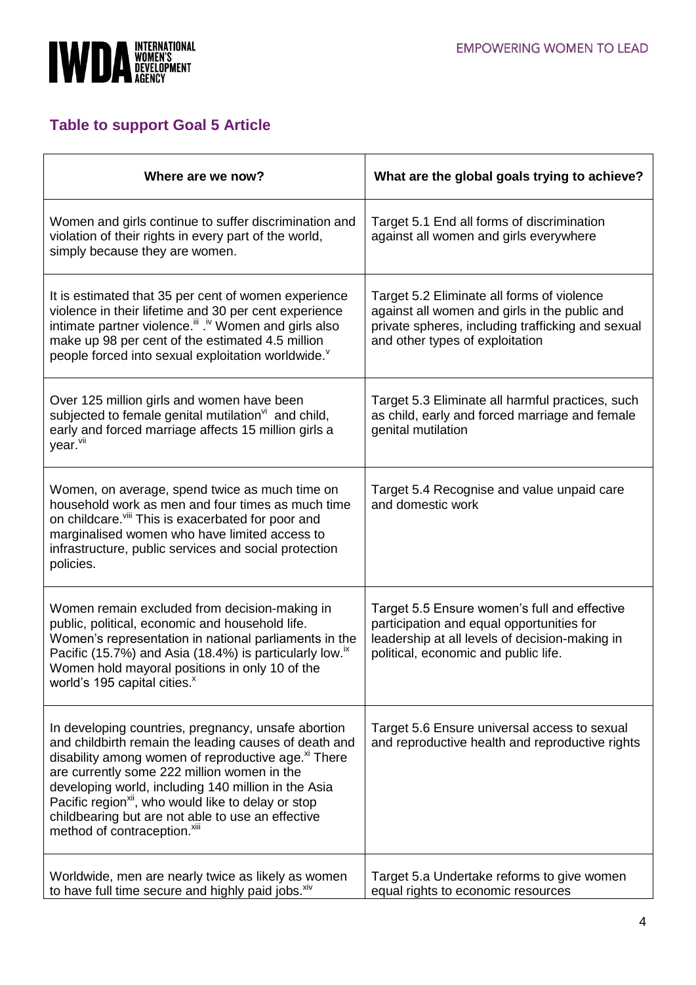

## **Table to support Goal 5 Article**

| Where are we now?                                                                                                                                                                                                                                                                                                                                                                                                                                         | What are the global goals trying to achieve?                                                                                                                                        |
|-----------------------------------------------------------------------------------------------------------------------------------------------------------------------------------------------------------------------------------------------------------------------------------------------------------------------------------------------------------------------------------------------------------------------------------------------------------|-------------------------------------------------------------------------------------------------------------------------------------------------------------------------------------|
| Women and girls continue to suffer discrimination and<br>violation of their rights in every part of the world,<br>simply because they are women.                                                                                                                                                                                                                                                                                                          | Target 5.1 End all forms of discrimination<br>against all women and girls everywhere                                                                                                |
| It is estimated that 35 per cent of women experience<br>violence in their lifetime and 30 per cent experience<br>intimate partner violence. <sup>iii</sup> . <sup>iv</sup> Women and girls also<br>make up 98 per cent of the estimated 4.5 million<br>people forced into sexual exploitation worldwide.                                                                                                                                                  | Target 5.2 Eliminate all forms of violence<br>against all women and girls in the public and<br>private spheres, including trafficking and sexual<br>and other types of exploitation |
| Over 125 million girls and women have been<br>subjected to female genital mutilation <sup>vi</sup> and child,<br>early and forced marriage affects 15 million girls a<br>year. <sup>vii</sup>                                                                                                                                                                                                                                                             | Target 5.3 Eliminate all harmful practices, such<br>as child, early and forced marriage and female<br>genital mutilation                                                            |
| Women, on average, spend twice as much time on<br>household work as men and four times as much time<br>on childcare. Vill This is exacerbated for poor and<br>marginalised women who have limited access to<br>infrastructure, public services and social protection<br>policies.                                                                                                                                                                         | Target 5.4 Recognise and value unpaid care<br>and domestic work                                                                                                                     |
| Women remain excluded from decision-making in<br>public, political, economic and household life.<br>Women's representation in national parliaments in the<br>Pacific (15.7%) and Asia (18.4%) is particularly low. <sup>ix</sup><br>Women hold mayoral positions in only 10 of the<br>world's 195 capital cities. <sup>x</sup>                                                                                                                            | Target 5.5 Ensure women's full and effective<br>participation and equal opportunities for<br>leadership at all levels of decision-making in<br>political, economic and public life. |
| In developing countries, pregnancy, unsafe abortion<br>and childbirth remain the leading causes of death and<br>disability among women of reproductive age. <sup>xi</sup> There<br>are currently some 222 million women in the<br>developing world, including 140 million in the Asia<br>Pacific region <sup>xii</sup> , who would like to delay or stop<br>childbearing but are not able to use an effective<br>method of contraception. <sup>xiii</sup> | Target 5.6 Ensure universal access to sexual<br>and reproductive health and reproductive rights                                                                                     |
| Worldwide, men are nearly twice as likely as women<br>to have full time secure and highly paid jobs. Xiv                                                                                                                                                                                                                                                                                                                                                  | Target 5.a Undertake reforms to give women<br>equal rights to economic resources                                                                                                    |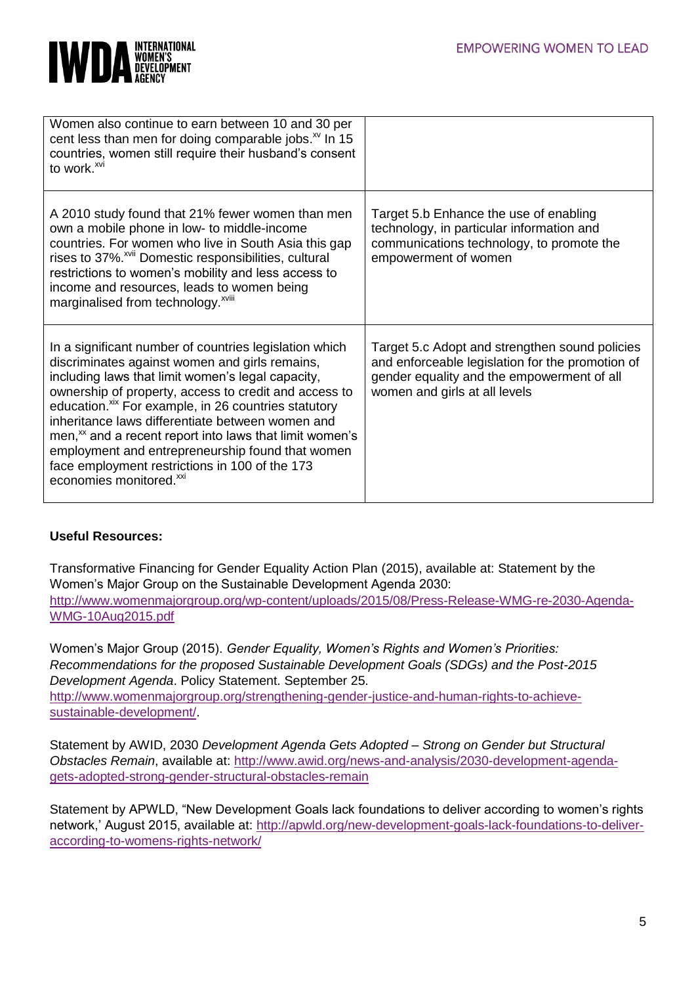

| Women also continue to earn between 10 and 30 per<br>cent less than men for doing comparable jobs. <sup>xv</sup> In 15<br>countries, women still require their husband's consent<br>to work. <sup>xvi</sup>                                                                                                                                                                                                                                                                                                                                                        |                                                                                                                                                                                   |
|--------------------------------------------------------------------------------------------------------------------------------------------------------------------------------------------------------------------------------------------------------------------------------------------------------------------------------------------------------------------------------------------------------------------------------------------------------------------------------------------------------------------------------------------------------------------|-----------------------------------------------------------------------------------------------------------------------------------------------------------------------------------|
| A 2010 study found that 21% fewer women than men<br>own a mobile phone in low- to middle-income<br>countries. For women who live in South Asia this gap<br>rises to 37%. <sup>xvii</sup> Domestic responsibilities, cultural<br>restrictions to women's mobility and less access to<br>income and resources, leads to women being<br>marginalised from technology. <sup>xviii</sup>                                                                                                                                                                                | Target 5.b Enhance the use of enabling<br>technology, in particular information and<br>communications technology, to promote the<br>empowerment of women                          |
| In a significant number of countries legislation which<br>discriminates against women and girls remains,<br>including laws that limit women's legal capacity,<br>ownership of property, access to credit and access to<br>education. <sup>xix</sup> For example, in 26 countries statutory<br>inheritance laws differentiate between women and<br>men, <sup>xx</sup> and a recent report into laws that limit women's<br>employment and entrepreneurship found that women<br>face employment restrictions in 100 of the 173<br>economies monitored. <sup>xxi</sup> | Target 5.c Adopt and strengthen sound policies<br>and enforceable legislation for the promotion of<br>gender equality and the empowerment of all<br>women and girls at all levels |

### **Useful Resources:**

Transformative Financing for Gender Equality Action Plan (2015), available at: Statement by the Women's Major Group on the Sustainable Development Agenda 2030: [http://www.womenmajorgroup.org/wp-content/uploads/2015/08/Press-Release-WMG-re-2030-Agenda-](http://www.womenmajorgroup.org/wp-content/uploads/2015/08/Press-Release-WMG-re-2030-Agenda-WMG-10Aug2015.pdf)[WMG-10Aug2015.pdf](http://www.womenmajorgroup.org/wp-content/uploads/2015/08/Press-Release-WMG-re-2030-Agenda-WMG-10Aug2015.pdf)

Women's Major Group (2015). *Gender Equality, Women's Rights and Women's Priorities: Recommendations for the proposed Sustainable Development Goals (SDGs) and the Post-2015 Development Agenda*. Policy Statement. September 25. [http://www.womenmajorgroup.org/strengthening-gender-justice-and-human-rights-to-achieve](http://www.womenmajorgroup.org/strengthening-gender-justice-and-human-rights-to-achieve-sustainable-development/)[sustainable-development/.](http://www.womenmajorgroup.org/strengthening-gender-justice-and-human-rights-to-achieve-sustainable-development/)

Statement by AWID, 2030 *Development Agenda Gets Adopted – Strong on Gender but Structural Obstacles Remain*, available at: [http://www.awid.org/news-and-analysis/2030-development-agenda](http://www.awid.org/news-and-analysis/2030-development-agenda-gets-adopted-strong-gender-structural-obstacles-remain)[gets-adopted-strong-gender-structural-obstacles-remain](http://www.awid.org/news-and-analysis/2030-development-agenda-gets-adopted-strong-gender-structural-obstacles-remain)

Statement by APWLD, "New Development Goals lack foundations to deliver according to women's rights network,' August 2015, available at: [http://apwld.org/new-development-goals-lack-foundations-to-deliver](http://apwld.org/new-development-goals-lack-foundations-to-deliver-according-to-womens-rights-network/)[according-to-womens-rights-network/](http://apwld.org/new-development-goals-lack-foundations-to-deliver-according-to-womens-rights-network/)